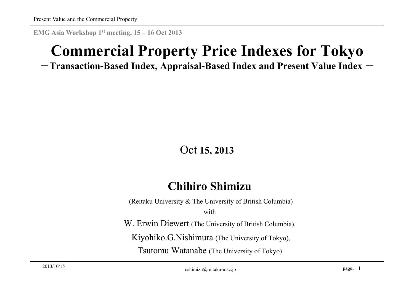**EMG Asia Workshop 1st meeting, 15 – 16 Oct 2013**

# **Commercial Property Price Indexes for Tokyo**

#### $-$ Transaction-Based Index, Appraisal-Based Index and Present Value Index  $-$

#### Oct **15, 2013**

#### **Chihiro Shimizu**

(Reitaku University & The University of British Columbia)

with

W. Erwin Diewert (The University of British Columbia),

Kiyohiko.G.Nishimura (The University of Tokyo),

Tsutomu Watanabe (The University of Tokyo)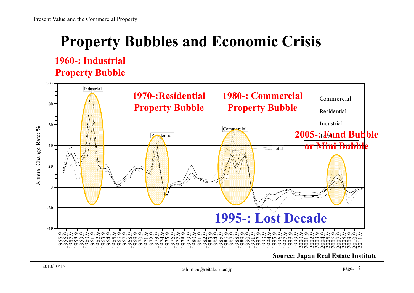# **Property Bubbles and Economic Crisis**

#### **1960-: Industrial Property Bubble**



**Source: Japan Real Estate Institute**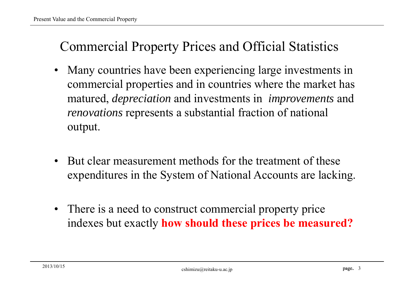### Commercial Property Prices and Official Statistics

- • Many countries have been experiencing large investments in commercial properties and in countries where the market has matured, *depreciation* and investments in *improvements* and *renovations* represents a substantial fraction of national output.
- • But clear measurement methods for the treatment of these expenditures in the System of National Accounts are lacking.
- There is a need to construct commercial property price indexes but exactly **how should these prices be measured?**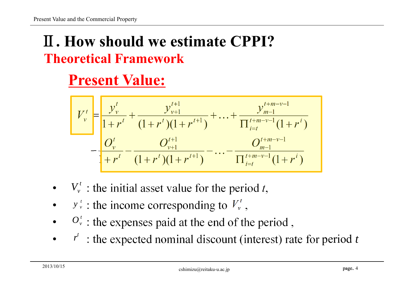# Ⅱ**. How should we estimate CPPI?Theoretical Framework**

# **Present Value:**

$$
V_v^t = \frac{y_v^t}{1 + r^t} + \frac{y_{v+1}^{t+1}}{(1 + r^t)(1 + r^{t+1})} + \dots + \frac{y_{m-1}^{t+m-v-1}}{\prod_{i=t}^{t+m-v-1}(1 + r^i)}
$$
  

$$
- \frac{O_v^t}{1 + r^t} - \frac{O_{v+1}^{t+1}}{(1 + r^t)(1 + r^{t+1})} - \dots - \frac{O_{m-1}^{t+m-v-1}}{\prod_{i=t}^{t+m-v-1}(1 + r^i)}
$$

- • $V_v^t$ : the initial asset value for the period *t*,
- • $y^{t}$  : the income corresponding to  $V^{t}$ ,
- • $O_{\nu}^{t}$ : the expenses paid at the end of the period,
- • $r^t$ : the expected nominal discount (interest) rate for period *t*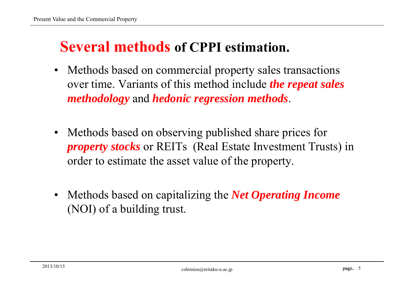## **Several methods of CPPI estimation.**

- $\bullet$  Methods based on commercial property sales transactions over time. Variants of this method include *the repeat sales methodology* and *hedonic regression methods*.
- $\bullet$  Methods based on observing published share prices for *property stocks* or REITs (Real Estate Investment Trusts) in order to estimate the asset value of the property.
- $\bullet$  Methods based on capitalizing the *Net Operating Income*  (NOI) of a building trust.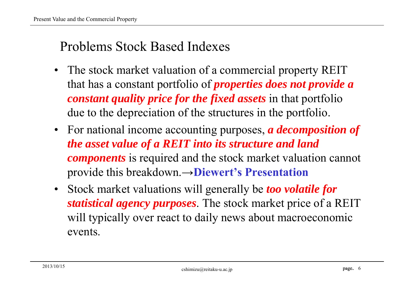### Problems Stock Based Indexes

- $\bullet$  The stock market valuation of a commercial property REIT that has a constant portfolio of *properties does not provide a constant quality price for the fixed assets* in that portfolio due to the depreciation of the structures in the portfolio.
- For national income accounting purposes, *a decomposition of the asset value of a REIT into its structure and land components* is required and the stock market valuation cannot provide this breakdown.→**Diewert's Presentation**
- • Stock market valuations will generally be *too volatile for statistical agency purposes*. The stock market price of a REIT will typically over react to daily news about macroeconomic events.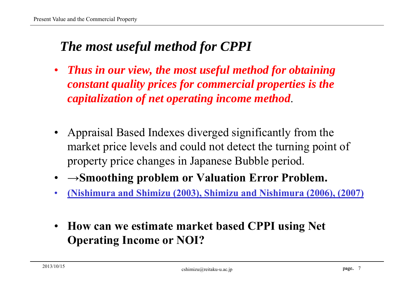### *The most useful method for CPPI*

- $\bullet$  *Thus in our view, the most useful method for obtaining constant quality prices for commercial properties is the capitalization of net operating income method*.
- Appraisal Based Indexes diverged significantly from the market price levels and could not detect the turning point of property price changes in Japanese Bubble period.
- •**<sup>→</sup>Smoothing problem or Valuation Error Problem.**
- •**(Nishimura and Shimizu (2003), Shimizu and Nishimura (2006), (2007)**
- $\bullet$  **How can we estimate market based CPPI using Net Operating Income or NOI?**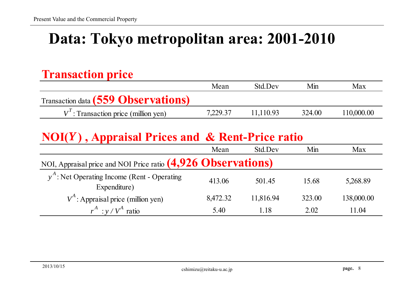# **Data: Tokyo metropolitan area: 2001-2010**

#### **Transaction price**

|                                            | Mean     | <b>Std Dev</b> | Min    | Max        |
|--------------------------------------------|----------|----------------|--------|------------|
| <b>Transaction data (559 Observations)</b> |          |                |        |            |
| $V'$ : Transaction price (million yen)     | 7.229.37 | 11.110.93      | 324.00 | 110,000.00 |

#### **NOI(***Y* **) , Appraisal Prices and & Rent-Price ratio**

|                                                               | Mean     | Std.Dev   | Min    | Max        |
|---------------------------------------------------------------|----------|-----------|--------|------------|
| NOI, Appraisal price and NOI Price ratio (4,926 Observations) |          |           |        |            |
| $yA$ : Net Operating Income (Rent - Operating<br>Expenditure) | 413.06   | 501.45    | 15.68  | 5,268.89   |
| $V^A$ : Appraisal price (million yen)                         | 8,472.32 | 11,816.94 | 323.00 | 138,000.00 |
| $r^A$ : $y / V^A$ ratio                                       | 5.40     | 1.18      | 2.02   | 11.04      |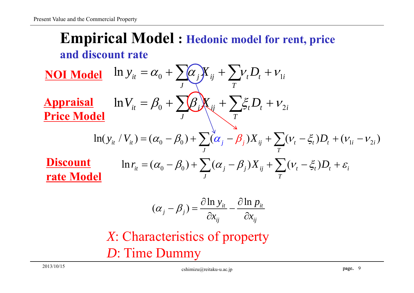### **Empirical Model : Hedonic model for rent, price and discount rate**

 $\int_{0}^{t}$  1 n  $y_{it} = \alpha_0 + \sum_{j} (\alpha_j) X_{ij} + \sum_{j} \nu_j D_j + \nu_{1i}$ *J T* $y_{it} = \alpha_0 + \sum \alpha_j X_{ij} + \sum v_t D_t + v_t$  $\ln V_{it} = \beta_0 + \sum \beta_i K_{ij} + \sum \xi_i D_i + \nu_{2i}$ *J T*  $V_{it} = \beta_0 + \sum \beta_i K_{ij} + \sum \xi_i D_i + V$  $\ln(y_{it} / V_{it}) = (\alpha_0 - \beta_0) + \sum_{i} (\alpha_j - \beta_j) X_{ij} + \sum_{i} (V_t - \xi_t) D_t + (V_{1i} - V_{2i})$ *J T*  $y_{it}$  /  $V_{it}$  ) =  $(\alpha_0 - \beta_0) + \sum_{i} (\alpha_j - \beta_j) X_{ij} + \sum_{i} (V_t - \xi_t) D_t + (V_{1i} - V_{1i})$  $t \rightarrow t$ <sup>*t*</sup> *t i Tj j ij J* $\ln r_{it} = (\alpha_0 - \beta_0) + \sum (\alpha_j - \beta_j) X_{ij} + \sum (\nu_t - \xi_t) D_t + \varepsilon_i$ **Appraisal Price Model NOI Model Discount rate Model**

$$
(\alpha_j - \beta_j) = \frac{\partial \ln y_{it}}{\partial x_{ij}} - \frac{\partial \ln p_{it}}{\partial x_{ij}}
$$

*X*: Characteristics of property *D*: Time Dummy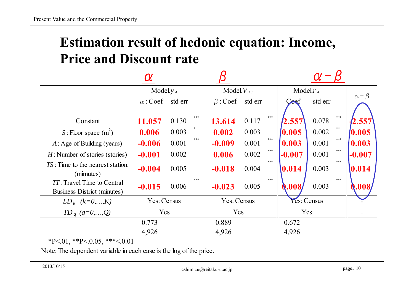### **Estimation result of hedonic equation: Income, Price and Discount rate**

|                                                                                                                                                  | Model. $y_A$                                        |                                                         | Model $V_{A3}$                                   |                                           | Model $r_A$ |                                              |                                           |                                  |                                              |
|--------------------------------------------------------------------------------------------------------------------------------------------------|-----------------------------------------------------|---------------------------------------------------------|--------------------------------------------------|-------------------------------------------|-------------|----------------------------------------------|-------------------------------------------|----------------------------------|----------------------------------------------|
|                                                                                                                                                  | $\alpha$ : Coef                                     | std err                                                 | $\beta$ : Coef                                   | std err                                   |             | Cost                                         | std err                                   |                                  | $\alpha$ – $\beta$                           |
| Constant<br>$S:$ Floor space $(m^2)$<br>$A:$ Age of Building (years)<br>$H$ : Number of stories (stories)<br>$TS$ : Time to the nearest station: | 11.057<br>0.006<br>$-0.006$<br>$-0.001$<br>$-0.004$ | ***<br>0.130<br>0.003<br>***<br>0.001<br>0.002<br>0.005 | 13.614<br>0.002<br>$-0.009$<br>0.006<br>$-0.018$ | 0.117<br>0.003<br>0.001<br>0.002<br>0.004 | ***<br>***  | 2.557<br>0.005<br>0.003<br>$-0.007$<br>0.014 | 0.078<br>0.002<br>0.001<br>0.001<br>0.003 | ***<br>**<br>$***$<br>***<br>*** | 2.557<br>0.005<br>0.003<br>$-0.007$<br>0.014 |
| (mimutes)<br><i>TT</i> : Travel Time to Central<br><b>Business District (minutes)</b>                                                            | $-0.015$                                            | ***<br>0.006                                            | $-0.023$                                         | 0.005                                     | ***         | 0.008/                                       | 0.003                                     | ***                              | Q.008/                                       |
| $LD_k$ $(k=0,,K)$                                                                                                                                | Yes: Census                                         |                                                         | Yes: Census                                      |                                           |             | Yes: Census                                  |                                           |                                  |                                              |
| $TD_q$ $(q=0,,Q)$                                                                                                                                | Yes                                                 |                                                         | Yes                                              |                                           |             | Yes                                          |                                           |                                  |                                              |
|                                                                                                                                                  | 0.773                                               |                                                         | 0.889                                            |                                           |             | 0.672                                        |                                           |                                  |                                              |
|                                                                                                                                                  | 4,926                                               |                                                         | 4,926                                            |                                           |             | 4,926                                        |                                           |                                  |                                              |

 $*P<.01$ ,  $*P<.0.05$ ,  $***<.0.01$ 

Note: The dependent variable in each case is the log of the price.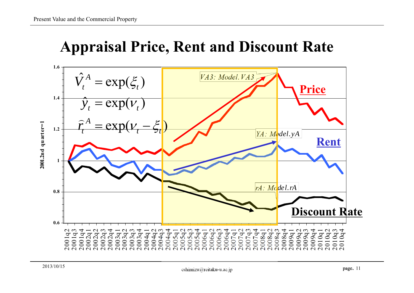### **Appraisal Price, Rent and Discount Rate**

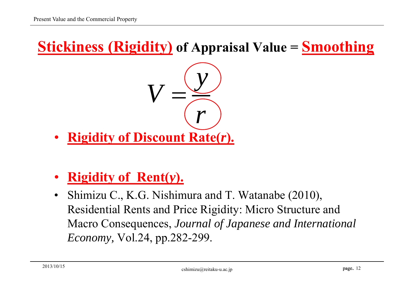### **Stickiness (Rigidity) of Appraisal Value = Smoothing**



- •**Rigidity of Discount Rate(***r***).**
- •**Rigidity of Rent(***y***).**
- • Shimizu C., K.G. Nishimura and T. Watanabe (2010), Residential Rents and Price Rigidity: Micro Structure and Macro Consequences, *Journal of Japanese and International Economy,* Vol.24, pp.282-299.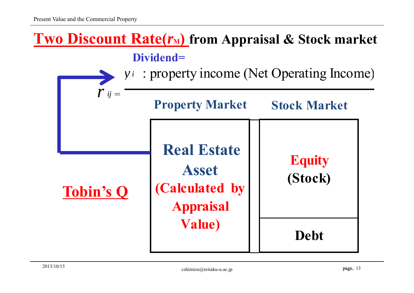



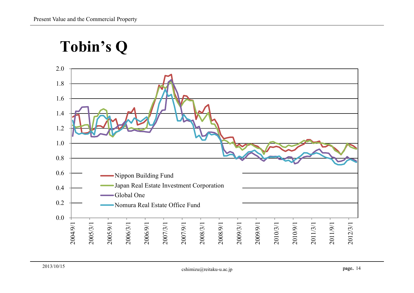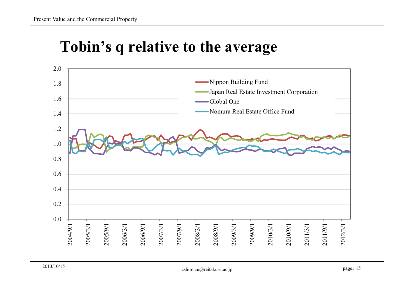### **Tobin's q relative to the average**

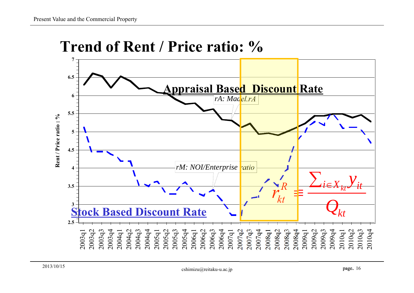

### **Trend of Rent / Price ratio: %**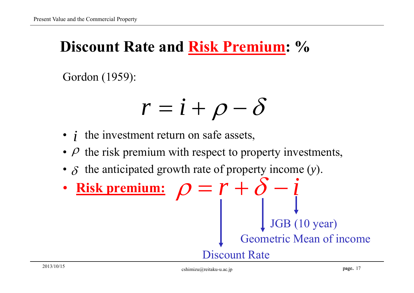## **Discount Rate and Risk Premium: %**

Gordon (1959):

$$
r=i+\rho-\delta
$$

- $i$  the investment return on safe assets,
- $\rho$  the risk premium with respect to property investments,
- $\delta$  the anticipated growth rate of property income  $(y)$ .
- • **Risk premium:** <u>**Risk premium:**  $\rho = r + \delta - i$ </u> Geometric Mean of income Discount Rate JGB (10 year)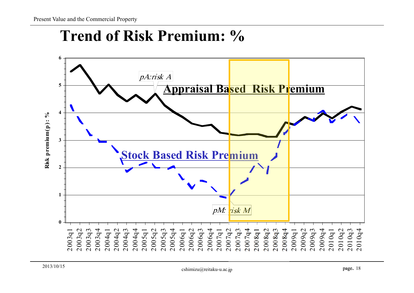## **Trend of Risk Premium: %**

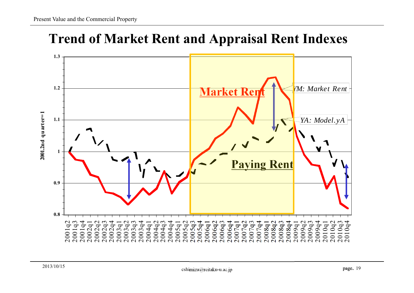### **Trend of Market Rent and Appraisal Rent Indexes**

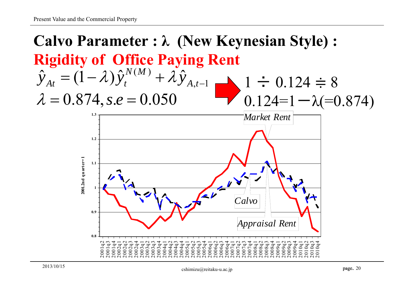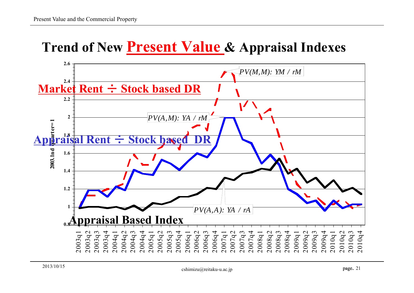### **Trend of New Present Value & Appraisal Indexes**

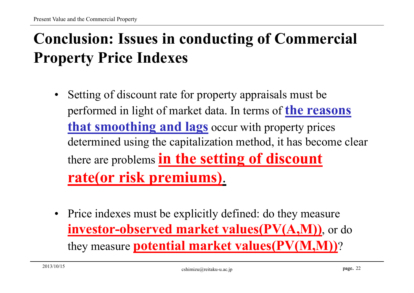# **Conclusion: Issues in conducting of Commercial Property Price Indexes**

- • Setting of discount rate for property appraisals must be performed in light of market data. In terms of **the reasons that smoothing and lags** occur with property prices determined using the capitalization method, it has become clear there are problems **in the setting of discount rate(or risk premiums)**.
- Price indexes must be explicitly defined: do they measure **investor-observed market values(PV(A,M))**, or do they measure **potential market values(PV(M,M))**?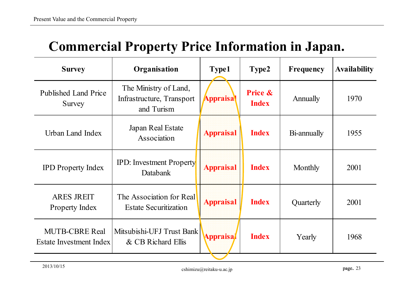| Соннистеми в горенту в нее вногивают не баран.   |                                                                  |                                                        |              |             |                     |  |
|--------------------------------------------------|------------------------------------------------------------------|--------------------------------------------------------|--------------|-------------|---------------------|--|
| <b>Survey</b>                                    | Organisation                                                     | <b>Type1</b><br>Type2                                  |              | Frequency   | <b>Availability</b> |  |
| <b>Published Land Price</b><br>Survey            | The Ministry of Land,<br>Infrastructure, Transport<br>and Turism | <b>Price &amp;</b><br><b>Appraisal</b><br><b>Index</b> |              | Annually    | 1970                |  |
| Urban Land Index                                 | Japan Real Estate<br>Association                                 | <b>Appraisal</b>                                       | <b>Index</b> | Bi-annually | 1955                |  |
| <b>IPD Property Index</b>                        | <b>IPD:</b> Investment Property<br><b>Databank</b>               | <b>Appraisal</b><br><b>Index</b>                       |              | Monthly     | 2001                |  |
| <b>ARES JREIT</b><br>Property Index              | The Association for Real<br><b>Estate Securitization</b>         | <b>Appraisal</b><br><b>Index</b>                       |              | Quarterly   | 2001                |  |
| <b>MUTB-CBRE Real</b><br>Estate Investment Index | Mitsubishi-UFJ Trust Bank<br>& CB Richard Ellis                  | <b>Appraisa</b>                                        | <b>Index</b> | Yearly      | 1968                |  |

### **Commercial Property Price Information in Japan.**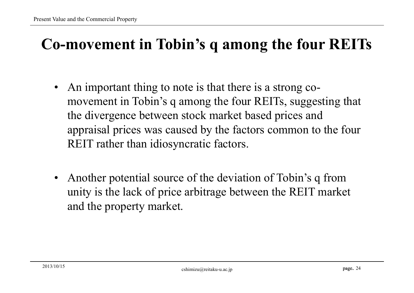# **Co-movement in Tobin's q among the four REITs**

- • An important thing to note is that there is a strong comovement in Tobin's q among the four REITs, suggesting that the divergence between stock market based prices and appraisal prices was caused by the factors common to the four REIT rather than idiosyncratic factors.
- • Another potential source of the deviation of Tobin's q from unity is the lack of price arbitrage between the REIT market and the property market.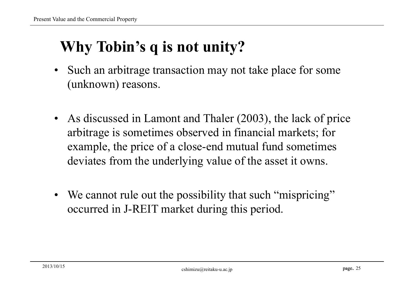# **Why Tobin's q is not unity?**

- $\bullet$  Such an arbitrage transaction may not take place for some (unknown) reasons.
- As discussed in Lamont and Thaler (2003), the lack of price arbitrage is sometimes observed in financial markets; for example, the price of a close-end mutual fund sometimes deviates from the underlying value of the asset it owns.
- We cannot rule out the possibility that such "mispricing" occurred in J-REIT market during this period.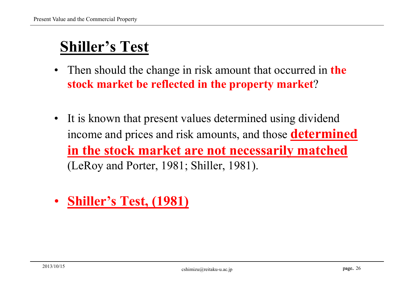# **Shiller's Test**

- • Then should the change in risk amount that occurred in **the stock market be reflected in the property market**?
- It is known that present values determined using dividend income and prices and risk amounts, and those **determined in the stock market are not necessarily matched**  (LeRoy and Porter, 1981; Shiller, 1981).
- •**Shiller's Test, (1981)**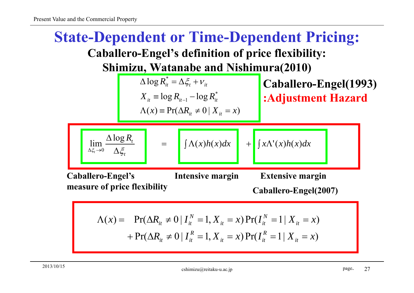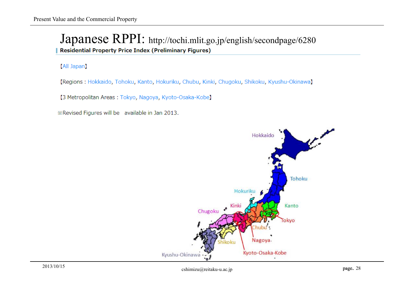#### Japanese RPPI: http://tochi.mlit.go.jp/english/secondpage/6280 **Residential Property Price Index (Preliminary Figures)**

#### (All Japan)

[Regions : Hokkaido, Tohoku, Kanto, Hokuriku, Chubu, Kinki, Chugoku, Shikoku, Kyushu-Okinawa]

[3 Metropolitan Areas: Tokyo, Nagoya, Kyoto-Osaka-Kobe]

\*Revised Figures will be available in Jan 2013.

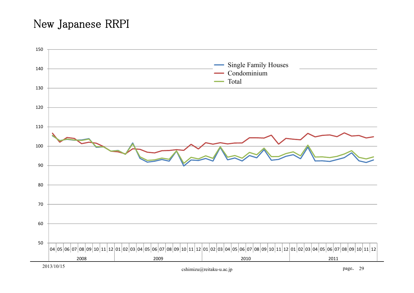#### New Japanese RRPI

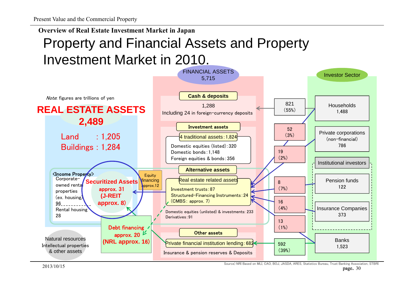Property and Financial Assets and Property Investment Market in 2010. **Overview of Real Estate Investment Market in Japan**



 $2013/10/15$ Source) NRI Based on MLI, CAO, BOJ, JASDA, ARES, Statistics Bureau, Trust Banking Association, STBRI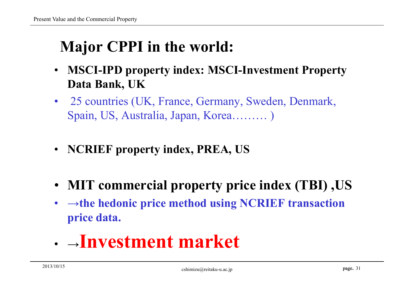# **Major CPPI in the world:**

- $\bullet$  **MSCI-IPD property index: MSCI-Investment Property Data Bank, UK**
- $\bullet$  25 countries (UK, France, Germany, Sweden, Denmark, Spain, US, Australia, Japan, Korea……… )
- **NCRIEF property index, PREA, US**
- **MIT commercial property price index (TBI) ,US**
- **<sup>→</sup>the hedonic price method using NCRIEF transaction price data.**
- <sup>→</sup>**Investment market**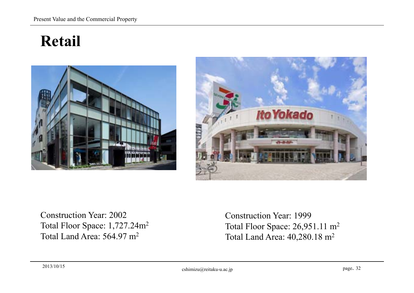# **Retail**





Construction Year: 2002 Total Floor Space: 1,727.24m2 Total Land Area: 564.97 m2

Construction Year: 1999 Total Floor Space: 26,951.11 m2 Total Land Area: 40,280.18 m2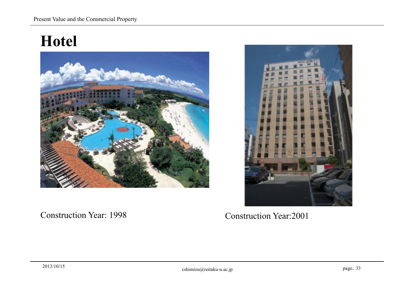## **Hotel**



#### Construction Year: 1998



Construction Year:2001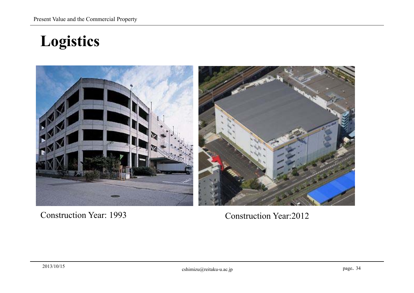**Logistics**



Construction Year: 1993

Construction Year:2012